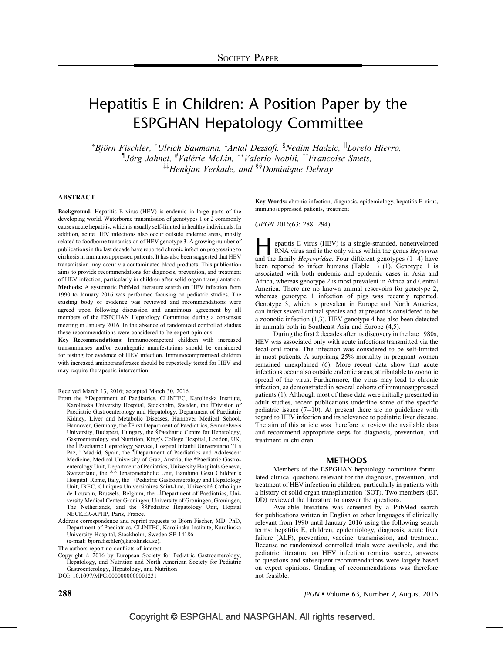# Hepatitis E in Children: A Position Paper by the ESPGHAN Hepatology Committee

\*Björn Fischler, <sup>†</sup>Ulrich Baumann, <sup>‡</sup>Antal Dezsofi, <sup>§</sup>Nedim Hadzic, <sup>||</sup>Loreto Hierro,  $\nabla$ Jörg Jahnel, <sup>#</sup>Valérie McLin, \*\*Valerio Nobili, <sup>††</sup>Francoise Smets,  $\ddot{z}^{\dagger}$ Henkjan Verkade, and  $\delta$ <sup>§§</sup>Dominique Debray

#### ABSTRACT

Background: Hepatitis E virus (HEV) is endemic in large parts of the developing world. Waterborne transmission of genotypes 1 or 2 commonly causes acute hepatitis, which is usually self-limited in healthy individuals. In addition, acute HEV infections also occur outside endemic areas, mostly related to foodborne transmission of HEV genotype 3. A growing number of publications in the last decade have reported chronic infection progressing to cirrhosis in immunosuppressed patients. It has also been suggested that HEV transmission may occur via contaminated blood products. This publication aims to provide recommendations for diagnosis, prevention, and treatment of HEV infection, particularly in children after solid organ transplantation. Methods: A systematic PubMed literature search on HEV infection from 1990 to January 2016 was performed focusing on pediatric studies. The existing body of evidence was reviewed and recommendations were agreed upon following discussion and unanimous agreement by all members of the ESPGHAN Hepatology Committee during a consensus meeting in January 2016. In the absence of randomized controlled studies these recommendations were considered to be expert opinions.

Key Recommendations: Immunocompetent children with increased transaminases and/or extrahepatic manifestations should be considered for testing for evidence of HEV infection. Immunocompromised children with increased aminotransferases should be repeatedly tested for HEV and may require therapeutic intervention.

Received March 13, 2016; accepted March 30, 2016.

The authors report no conflicts of interest.

DOI: [10.1097/MPG.0000000000001231](http://dx.doi.org/10.1097/MPG.0000000000001231)

Key Words: chronic infection, diagnosis, epidemiology, hepatitis E virus, immunosuppressed patients, treatment

(JPGN 2016;63: 288–294)

epatitis E virus (HEV) is a single-stranded, nonenveloped<br>RNA virus and is the only virus within the genus *Hepevirus*<br>and the family *Hepeviridae*. Four different genotypes (1–4) have RNA virus and is the only virus within the genus Hepevirus been reported to infect humans [\(Table 1](#page-1-0)) [\(1\)](#page-4-0). Genotype 1 is associated with both endemic and epidemic cases in Asia and Africa, whereas genotype 2 is most prevalent in Africa and Central America. There are no known animal reservoirs for genotype 2, whereas genotype 1 infection of pigs was recently reported. Genotype 3, which is prevalent in Europe and North America, can infect several animal species and at present is considered to be a zoonotic infection [\(1,3\).](#page-4-0) HEV genotype 4 has also been detected in animals both in Southeast Asia and Europe [\(4,5\)](#page-5-0).

During the first 2 decades after its discovery in the late 1980s, HEV was associated only with acute infections transmitted via the fecal-oral route. The infection was considered to be self-limited in most patients. A surprising 25% mortality in pregnant women remained unexplained [\(6\).](#page-5-0) More recent data show that acute infections occur also outside endemic areas, attributable to zoonotic spread of the virus. Furthermore, the virus may lead to chronic infection, as demonstrated in several cohorts of immunosuppressed patients [\(1\)](#page-4-0). Although most of these data were initially presented in adult studies, recent publications underline some of the specific pediatric issues  $(7-10)$ . At present there are no guidelines with regard to HEV infection and its relevance to pediatric liver disease. The aim of this article was therefore to review the available data and recommend appropriate steps for diagnosis, prevention, and treatment in children.

#### METHODS

Members of the ESPGHAN hepatology committee formulated clinical questions relevant for the diagnosis, prevention, and treatment of HEV infection in children, particularly in patients with a history of solid organ transplantation (SOT). Two members (BF, DD) reviewed the literature to answer the questions.

Available literature was screened by a PubMed search for publications written in English or other languages if clinically relevant from 1990 until January 2016 using the following search terms: hepatitis E, children, epidemiology, diagnosis, acute liver failure (ALF), prevention, vaccine, transmission, and treatment. Because no randomized controlled trials were available, and the pediatric literature on HEV infection remains scarce, answers to questions and subsequent recommendations were largely based on expert opinions. Grading of recommendations was therefore not feasible.

From the \*Department of Paediatrics, CLINTEC, Karolinska Institute, Karolinska University Hospital, Stockholm, Sweden, the <sup>†</sup>Division of Paediatric Gastroenterology and Hepatology, Department of Paediatric Kidney, Liver and Metabolic Diseases, Hannover Medical School, Hannover, Germany, the ‡First Department of Paediatrics, Semmelweis University, Budapest, Hungary, the §Paediatric Centre for Hepatology, Gastroenterology and Nutrition, King's College Hospital, London, UK, the ||Paediatric Hepatology Service, Hospital Infantil Universitario "La Paz," Madrid, Spain, the *Department of Paediatrics and Adolescent* Medicine, Medical University of Graz, Austria, the #Paediatric Gastroenterology Unit, Department of Pediatrics, University Hospitals Geneva, Switzerland, the \*\*Hepatometabolic Unit, Bambino Gesu Children's Hospital, Rome, Italy, the ††Pediatric Gastroenterology and Hepatology Unit, IREC, Cliniques Universitaires Saint-Luc, Universite´ Catholique de Louvain, Brussels, Belgium, the ##Department of Paediatrics, University Medical Center Groningen, University of Groningen, Groningen, The Netherlands, and the §§Pediatric Hepatology Unit, Hôpital NECKER-APHP, Paris, France.

Address correspondence and reprint requests to Björn Fischer, MD, PhD, Department of Paediatrics, CLINTEC, Karolinska Institute, Karolinska University Hospital, Stockholm, Sweden SE-14186 (e-mail: bjorn.fischler@karolinska.se).

Copyright  $@$  2016 by European Society for Pediatric Gastroenterology, Hepatology, and Nutrition and North American Society for Pediatric Gastroenterology, Hepatology, and Nutrition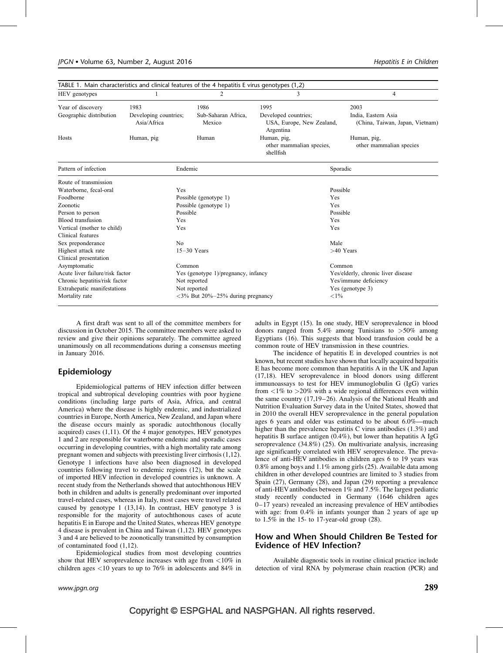<span id="page-1-0"></span>

| TABLE 1. Main characteristics and clinical features of the 4 hepatitis E virus genotypes $(1,2)$ |                       |                     |                                                      |                                        |  |
|--------------------------------------------------------------------------------------------------|-----------------------|---------------------|------------------------------------------------------|----------------------------------------|--|
| HEV genotypes                                                                                    |                       | $\overline{c}$      | 3                                                    | 4                                      |  |
| Year of discovery                                                                                | 1983                  | 1986                | 1995                                                 | 2003                                   |  |
| Geographic distribution                                                                          | Developing countries; | Sub-Saharan Africa, | Developed countries;                                 | India, Eastern Asia                    |  |
|                                                                                                  | Asia/Africa           | Mexico              | USA, Europe, New Zealand,<br>Argentina               | (China, Taiwan, Japan, Vietnam)        |  |
| Hosts                                                                                            | Human, pig            | Human               | Human, pig,<br>other mammalian species,<br>shellfish | Human, pig,<br>other mammalian species |  |
| Pattern of infection                                                                             | Endemic               |                     | Sporadic                                             |                                        |  |
| Route of transmission                                                                            |                       |                     |                                                      |                                        |  |
| Waterborne, fecal-oral                                                                           | Yes                   |                     | Possible                                             |                                        |  |
| Foodborne                                                                                        | Possible (genotype 1) |                     | Yes                                                  |                                        |  |
| Zoonotic                                                                                         | Possible (genotype 1) |                     | Yes                                                  |                                        |  |
| Person to person                                                                                 | Possible              |                     | Possible                                             |                                        |  |
| Blood transfusion                                                                                | Yes                   |                     |                                                      | Yes                                    |  |
| Vertical (mother to child)                                                                       | Yes                   |                     |                                                      | Yes                                    |  |
| Clinical features                                                                                |                       |                     |                                                      |                                        |  |
| Sex preponderance                                                                                | N <sub>0</sub>        |                     |                                                      | Male                                   |  |
| Highest attack rate                                                                              | $15-30$ Years         |                     | $>40$ Years                                          |                                        |  |
| Clinical presentation                                                                            |                       |                     |                                                      |                                        |  |
| Asymptomatic                                                                                     | Common                |                     |                                                      | Common                                 |  |
| Acute liver failure/risk factor<br>Yes (genotype 1)/pregnancy, infancy                           |                       |                     | Yes/elderly, chronic liver disease                   |                                        |  |
| Chronic hepatitis/risk factor<br>Not reported                                                    |                       |                     | Yes/immune deficiency                                |                                        |  |
| Extrahepatic manifestations<br>Not reported                                                      |                       |                     | Yes (genotype 3)                                     |                                        |  |
| Mortality rate<br>$<3\%$ But 20% $-25\%$ during pregnancy                                        |                       | ${<}1\%$            |                                                      |                                        |  |

A first draft was sent to all of the committee members for discussion in October 2015. The committee members were asked to review and give their opinions separately. The committee agreed unanimously on all recommendations during a consensus meeting in January 2016.

## Epidemiology

Epidemiological patterns of HEV infection differ between tropical and subtropical developing countries with poor hygiene conditions (including large parts of Asia, Africa, and central America) where the disease is highly endemic, and industrialized countries in Europe, North America, New Zealand, and Japan where the disease occurs mainly as sporadic autochthonous (locally acquired) cases [\(1,11\).](#page-4-0) Of the 4 major genotypes, HEV genotypes 1 and 2 are responsible for waterborne endemic and sporadic cases occurring in developing countries, with a high mortality rate among pregnant women and subjects with preexisting liver cirrhosis [\(1,12\)](#page-4-0). Genotype 1 infections have also been diagnosed in developed countries following travel to endemic regions [\(12\)](#page-5-0), but the scale of imported HEV infection in developed countries is unknown. A recent study from the Netherlands showed that autochthonous HEV both in children and adults is generally predominant over imported travel-related cases, whereas in Italy, most cases were travel related caused by genotype 1 [\(13,14\)](#page-5-0). In contrast, HEV genotype 3 is responsible for the majority of autochthonous cases of acute hepatitis E in Europe and the United States, whereas HEV genotype 4 disease is prevalent in China and Taiwan [\(1,12\)](#page-4-0). HEV genotypes 3 and 4 are believed to be zoonotically transmitted by consumption of contaminated food [\(1,12\).](#page-4-0)

Epidemiological studies from most developing countries show that HEV seroprevalence increases with age from <10% in children ages  $\langle 10 \rangle$  years to up to 76% in adolescents and 84% in adults in Egypt [\(15\).](#page-5-0) In one study, HEV seroprevalence in blood donors ranged from 5.4% among Tunisians to >50% among Egyptians [\(16\).](#page-5-0) This suggests that blood transfusion could be a common route of HEV transmission in these countries.

The incidence of hepatitis E in developed countries is not known, but recent studies have shown that locally acquired hepatitis E has become more common than hepatitis A in the UK and Japan [\(17,18\)](#page-5-0). HEV seroprevalence in blood donors using different immunoassays to test for HEV immunoglobulin G (IgG) varies from  $\langle 1\%$  to  $>20\%$  with a wide regional differences even within the same country [\(17,19–26\).](#page-5-0) Analysis of the National Health and Nutrition Evaluation Survey data in the United States, showed that in 2010 the overall HEV seroprevalence in the general population ages 6 years and older was estimated to be about 6.0%—much higher than the prevalence hepatitis C virus antibodies (1.3%) and hepatitis B surface antigen (0.4%), but lower than hepatitis A IgG seroprevalence (34.8%) [\(25\).](#page-5-0) On multivariate analysis, increasing age significantly correlated with HEV seroprevalence. The prevalence of anti-HEV antibodies in children ages 6 to 19 years was 0.8% among boys and 1.1% among girls [\(25\).](#page-5-0) Available data among children in other developed countries are limited to 3 studies from Spain [\(27\)](#page-5-0), Germany [\(28\)](#page-5-0), and Japan [\(29\)](#page-5-0) reporting a prevalence of anti-HEV antibodies between 1% and 7.5%. The largest pediatric study recently conducted in Germany (1646 children ages 0–17 years) revealed an increasing prevalence of HEV antibodies with age: from 0.4% in infants younger than 2 years of age up to 1.5% in the 15- to 17-year-old group [\(28\)](#page-5-0).

## How and When Should Children Be Tested for Evidence of HEV Infection?

Available diagnostic tools in routine clinical practice include detection of viral RNA by polymerase chain reaction (PCR) and

## Copyright © ESPGHAL and NASPGHAN. All rights reserved.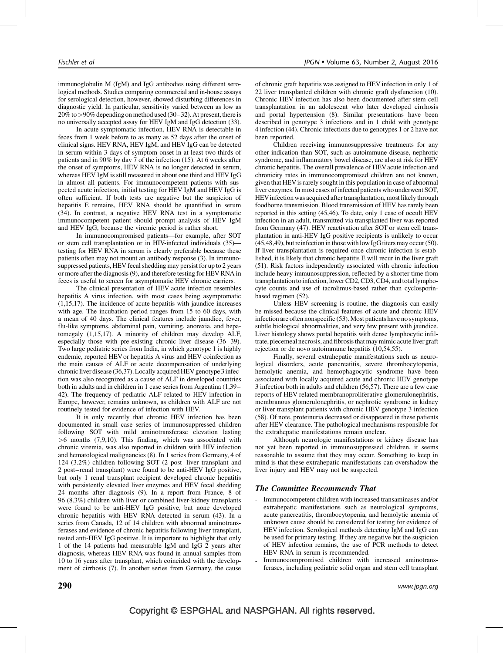immunoglobulin M (IgM) and IgG antibodies using different serological methods. Studies comparing commercial and in-house assays for serological detection, however, showed disturbing differences in diagnostic yield. In particular, sensitivity varied between as low as  $20\%$  to  $>90\%$  depending on method used [\(30–32\).](#page-5-0) At present, there is no universally accepted assay for HEV IgM and IgG detection [\(33\)](#page-5-0).

In acute symptomatic infection, HEV RNA is detectable in feces from 1 week before to as many as 52 days after the onset of clinical signs. HEV RNA, HEV IgM, and HEV IgG can be detected in serum within 3 days of symptom onset in at least two thirds of patients and in 90% by day 7 of the infection [\(15\)](#page-5-0). At 6 weeks after the onset of symptoms, HEV RNA is no longer detected in serum, whereas HEV IgM is still measured in about one third and HEV IgG in almost all patients. For immunocompetent patients with suspected acute infection, initial testing for HEV IgM and HEV IgG is often sufficient. If both tests are negative but the suspicion of hepatitis E remains, HEV RNA should be quantified in serum [\(34\)](#page-5-0). In contrast, a negative HEV RNA test in a symptomatic immunocompetent patient should prompt analysis of HEV IgM and HEV IgG, because the viremic period is rather short.

In immunocompromised patients—for example, after SOT or stem cell transplantation or in HIV-infected individuals [\(35\)](#page-5-0) testing for HEV RNA in serum is clearly preferable because these patients often may not mount an antibody response [\(3\).](#page-5-0) In immunosuppressed patients, HEV fecal shedding may persist for up to 2 years or more after the diagnosis [\(9\)](#page-5-0), and therefore testing for HEV RNA in feces is useful to screen for asymptomatic HEV chronic carriers.

The clinical presentation of HEV acute infection resembles hepatitis A virus infection, with most cases being asymptomatic [\(1,15,17\).](#page-4-0) The incidence of acute hepatitis with jaundice increases with age. The incubation period ranges from 15 to 60 days, with a mean of 40 days. The clinical features include jaundice, fever, flu-like symptoms, abdominal pain, vomiting, anorexia, and hepatomegaly [\(1,15,17\).](#page-4-0) A minority of children may develop ALF, especially those with pre-existing chronic liver disease [\(36–39\)](#page-5-0). Two large pediatric series from India, in which genotype 1 is highly endemic, reported HEV or hepatitis A virus and HEV coinfection as the main causes of ALF or acute decompensation of underlying chronic liver disease  $(36,37)$ . Locally acquired HEV genotype 3 infection was also recognized as a cause of ALF in developed countries both in adults and in children in 1 case series from Argentina [\(1,39–](#page-4-0) [42\)](#page-4-0). The frequency of pediatric ALF related to HEV infection in Europe, however, remains unknown, as children with ALF are not routinely tested for evidence of infection with HEV.

It is only recently that chronic HEV infection has been documented in small case series of immunosuppressed children following SOT with mild aminotransferase elevation lasting >6 months [\(7,9,10\).](#page-5-0) This finding, which was associated with chronic viremia, was also reported in children with HIV infection and hematological malignancies [\(8\).](#page-5-0) In 1 series from Germany, 4 of 124 (3.2%) children following SOT (2 post–liver transplant and 2 post–renal transplant) were found to be anti-HEV IgG positive, but only 1 renal transplant recipient developed chronic hepatitis with persistently elevated liver enzymes and HEV fecal shedding 24 months after diagnosis [\(9\)](#page-5-0). In a report from France, 8 of 96 (8.3%) children with liver or combined liver-kidney transplants were found to be anti-HEV IgG positive, but none developed chronic hepatitis with HEV RNA detected in serum [\(43\)](#page-5-0). In a series from Canada, 12 of 14 children with abnormal aminotransferases and evidence of chronic hepatitis following liver transplant, tested anti-HEV IgG positive. It is important to highlight that only 1 of the 14 patients had measurable IgM and IgG 2 years after diagnosis, whereas HEV RNA was found in annual samples from 10 to 16 years after transplant, which coincided with the development of cirrhosis [\(7\)](#page-5-0). In another series from Germany, the cause of chronic graft hepatitis was assigned to HEV infection in only 1 of 22 liver transplanted children with chronic graft dysfunction [\(10\).](#page-5-0) Chronic HEV infection has also been documented after stem cell transplantation in an adolescent who later developed cirrhosis and portal hypertension [\(8\).](#page-5-0) Similar presentations have been described in genotype 3 infections and in 1 child with genotype 4 infection [\(44\).](#page-5-0) Chronic infections due to genotypes 1 or 2 have not been reported.

Children receiving immunosuppressive treatments for any other indication than SOT, such as autoimmune disease, nephrotic syndrome, and inflammatory bowel disease, are also at risk for HEV chronic hepatitis. The overall prevalence of HEVacute infection and chronicity rates in immunocompromised children are not known, given that HEV is rarely sought in this population in case of abnormal liver enzymes. In most cases of infected patients who underwent SOT, HEVinfection was acquired after transplantation, most likely through foodborne transmission. Blood transmission of HEV has rarely been reported in this setting [\(45,46\).](#page-5-0) To date, only 1 case of occult HEV infection in an adult, transmitted via transplanted liver was reported from Germany [\(47\).](#page-5-0) HEV reactivation after SOT or stem cell transplantation in anti-HEV IgG positive recipients is unlikely to occur  $(45,48,49)$ , but reinfection in those with low IgG titers may occur [\(50\).](#page-5-0) If liver transplantation is required once chronic infection is established, it is likely that chronic hepatitis E will recur in the liver graft [\(51\).](#page-5-0) Risk factors independently associated with chronic infection include heavy immunosuppression, reflected by a shorter time from transplantation to infection, lower CD2, CD3, CD4, and total lymphocyte counts and use of tacrolimus-based rather than cyclosporinbased regimen [\(52\)](#page-5-0).

Unless HEV screening is routine, the diagnosis can easily be missed because the clinical features of acute and chronic HEV infection are often nonspecific [\(53\).](#page-6-0) Most patients have no symptoms, subtle biological abnormalities, and very few present with jaundice. Liver histology shows portal hepatitis with dense lymphocytic infiltrate, piecemeal necrosis, and fibrosis that may mimic acuteliver graft rejection or de novo autoimmune hepatitis [\(10,54,55\)](#page-5-0).

Finally, several extrahepatic manifestations such as neurological disorders, acute pancreatitis, severe thrombocytopenia, hemolytic anemia, and hemophagocytic syndrome have been associated with locally acquired acute and chronic HEV genotype 3 infection both in adults and children [\(56,57\).](#page-6-0) There are a few case reports of HEV-related membranoproliferative glomerulonephritis, membranous glomerulonephritis, or nephrotic syndrome in kidney or liver transplant patients with chronic HEV genotype 3 infection [\(58\).](#page-6-0) Of note, proteinuria decreased or disappeared in these patients after HEV clearance. The pathological mechanisms responsible for the extrahepatic manifestations remain unclear.

Although neurologic manifestations or kidney disease has not yet been reported in immunosuppressed children, it seems reasonable to assume that they may occur. Something to keep in mind is that these extrahepatic manifestations can overshadow the liver injury and HEV may not be suspected.

#### The Committee Recommends That

- Immunocompetent children with increased transaminases and/or extrahepatic manifestations such as neurological symptoms, acute pancreatitis, thrombocytopenia, and hemolytic anemia of unknown cause should be considered for testing for evidence of HEV infection. Serological methods detecting IgM and IgG can be used for primary testing. If they are negative but the suspicion of HEV infection remains, the use of PCR methods to detect HEV RNA in serum is recommended.
- Immunocompromised children with increased aminotransferases, including pediatric solid organ and stem cell transplant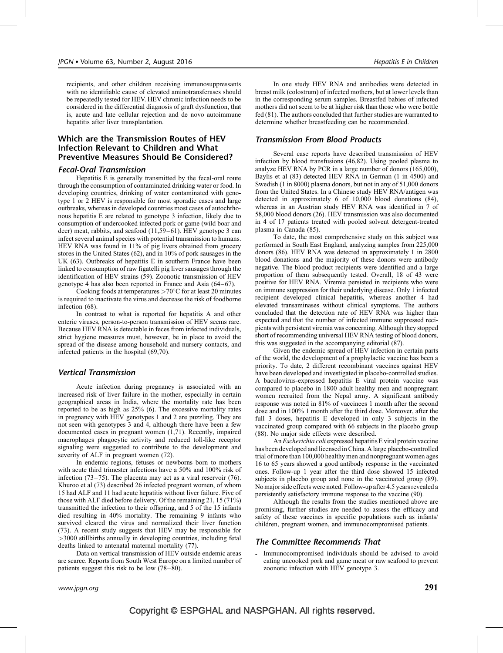recipients, and other children receiving immunosuppressants with no identifiable cause of elevated aminotransferases should be repeatedly tested for HEV. HEV chronic infection needs to be considered in the differential diagnosis of graft dysfunction, that is, acute and late cellular rejection and de novo autoimmune hepatitis after liver transplantation.

## Which are the Transmission Routes of HEV Infection Relevant to Children and What Preventive Measures Should Be Considered?

## Fecal-Oral Transmission

Hepatitis E is generally transmitted by the fecal-oral route through the consumption of contaminated drinking water or food. In developing countries, drinking of water contaminated with genotype 1 or 2 HEV is responsible for most sporadic cases and large outbreaks, whereas in developed countries most cases of autochthonous hepatitis E are related to genotype 3 infection, likely due to consumption of undercooked infected pork or game (wild boar and deer) meat, rabbits, and seafood [\(11,59–61\).](#page-5-0) HEV genotype 3 can infect several animal species with potential transmission to humans. HEV RNA was found in 11% of pig livers obtained from grocery stores in the United States [\(62\),](#page-6-0) and in 10% of pork sausages in the UK [\(63\).](#page-6-0) Outbreaks of hepatitis E in southern France have been linked to consumption of raw figatelli pig liver sausages through the identification of HEV strains [\(59\)](#page-6-0). Zoonotic transmission of HEV genotype 4 has also been reported in France and Asia [\(64–67\).](#page-6-0)

Cooking foods at temperatures  $>70^{\circ}$ C for at least 20 minutes is required to inactivate the virus and decrease the risk of foodborne infection [\(68\)](#page-6-0).

In contrast to what is reported for hepatitis A and other enteric viruses, person-to-person transmission of HEV seems rare. Because HEV RNA is detectable in feces from infected individuals, strict hygiene measures must, however, be in place to avoid the spread of the disease among household and nursery contacts, and infected patients in the hospital [\(69,70\)](#page-6-0).

## Vertical Transmission

Acute infection during pregnancy is associated with an increased risk of liver failure in the mother, especially in certain geographical areas in India, where the mortality rate has been reported to be as high as 25% [\(6\)](#page-5-0). The excessive mortality rates in pregnancy with HEV genotypes 1 and 2 are puzzling. They are not seen with genotypes 3 and 4, although there have been a few documented cases in pregnant women [\(1,71\)](#page-4-0). Recently, impaired macrophages phagocytic activity and reduced toll-like receptor signaling were suggested to contribute to the development and severity of ALF in pregnant women [\(72\)](#page-6-0).

In endemic regions, fetuses or newborns born to mothers with acute third trimester infections have a 50% and 100% risk of infection [\(73–75\)](#page-6-0). The placenta may act as a viral reservoir [\(76\)](#page-6-0). Khuroo et al [\(73\)](#page-6-0) described 26 infected pregnant women, of whom 15 had ALF and 11 had acute hepatitis without liver failure. Five of those with ALF died before delivery. Of the remaining 21, 15 (71%) transmitted the infection to their offspring, and 5 of the 15 infants died resulting in 40% mortality. The remaining 9 infants who survived cleared the virus and normalized their liver function [\(73\)](#page-6-0). A recent study suggests that HEV may be responsible for >3000 stillbirths annually in developing countries, including fetal deaths linked to antenatal maternal mortality [\(77\)](#page-6-0).

Data on vertical transmission of HEV outside endemic areas are scarce. Reports from South West Europe on a limited number of patients suggest this risk to be low [\(78–80\).](#page-6-0)

In one study HEV RNA and antibodies were detected in breast milk (colostrum) of infected mothers, but at lower levels than in the corresponding serum samples. Breastfed babies of infected mothers did not seem to be at higher risk than those who were bottle fed [\(81\)](#page-6-0). The authors concluded that further studies are warranted to determine whether breastfeeding can be recommended.

#### Transmission From Blood Products

Several case reports have described transmission of HEV infection by blood transfusions [\(46,82\).](#page-5-0) Using pooled plasma to analyze HEV RNA by PCR in a large number of donors (165,000), Baylis et al [\(83\)](#page-6-0) detected HEV RNA in German (1 in 4500) and Swedish (1 in 8000) plasma donors, but not in any of 51,000 donors from the United States. In a Chinese study HEV RNA/antigen was detected in approximately 6 of 10,000 blood donations [\(84\),](#page-6-0) whereas in an Austrian study HEV RNA was identified in 7 of 58,000 blood donors [\(26\)](#page-5-0). HEV transmission was also documented in 4 of 17 patients treated with pooled solvent detergent-treated plasma in Canada [\(85\)](#page-6-0).

To date, the most comprehensive study on this subject was performed in South East England, analyzing samples from 225,000 donors [\(86\).](#page-6-0) HEV RNA was detected in approximately 1 in 2800 blood donations and the majority of these donors were antibody negative. The blood product recipients were identified and a large proportion of them subsequently tested. Overall, 18 of 43 were positive for HEV RNA. Viremia persisted in recipients who were on immune suppression for their underlying disease. Only 1 infected recipient developed clinical hepatitis, whereas another 4 had elevated transaminases without clinical symptoms. The authors concluded that the detection rate of HEV RNA was higher than expected and that the number of infected immune suppressed recipients with persistent viremia was concerning. Although they stopped short of recommending universal HEV RNA testing of blood donors, this was suggested in the accompanying editorial [\(87\).](#page-6-0)

Given the endemic spread of HEV infection in certain parts of the world, the development of a prophylactic vaccine has been a priority. To date, 2 different recombinant vaccines against HEV have been developed and investigated in placebo-controlled studies. A baculovirus-expressed hepatitis E viral protein vaccine was compared to placebo in 1800 adult healthy men and nonpregnant women recruited from the Nepal army. A significant antibody response was noted in 81% of vaccinees 1 month after the second dose and in 100% 1 month after the third dose. Moreover, after the full 3 doses, hepatitis E developed in only 3 subjects in the vaccinated group compared with 66 subjects in the placebo group [\(88\).](#page-6-0) No major side effects were described.

An Escherichia coli expressed hepatitis E viral protein vaccine has been developed and licensed in China. A large placebo-controlled trial of more than 100,000 healthy men and nonpregnant women ages 16 to 65 years showed a good antibody response in the vaccinated ones. Follow-up 1 year after the third dose showed 15 infected subjects in placebo group and none in the vaccinated group [\(89\).](#page-6-0) No major side effects were noted. Follow-up after 4.5 years revealed a persistently satisfactory immune response to the vaccine [\(90\).](#page-6-0)

Although the results from the studies mentioned above are promising, further studies are needed to assess the efficacy and safety of these vaccines in specific populations such as infants/ children, pregnant women, and immunocompromised patients.

#### The Committee Recommends That

- Immunocompromised individuals should be advised to avoid eating uncooked pork and game meat or raw seafood to prevent zoonotic infection with HEV genotype 3.

# Copyright © ESPGHAL and NASPGHAN. All rights reserved.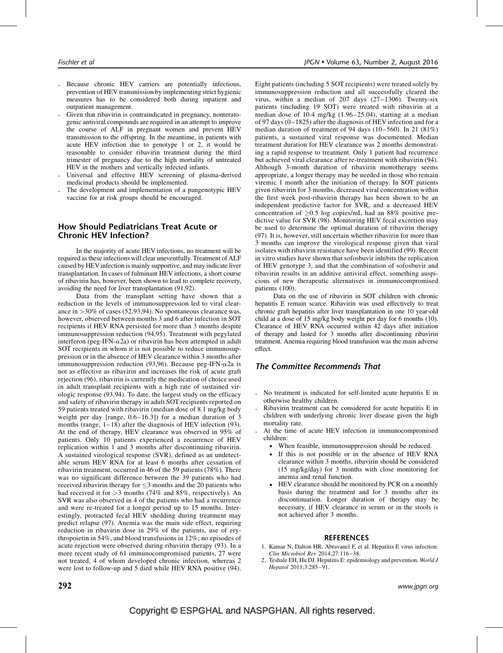- <span id="page-4-0"></span>Because chronic HEV carriers are potentially infectious, prevention of HEV transmission by implementing strict hygienic measures has to be considered both during inpatient and outpatient management.
- Given that ribavirin is contraindicated in pregnancy, nonteratogenic antiviral compounds are required in an attempt to improve the course of ALF in pregnant women and prevent HEV transmission to the offspring. In the meantime, in patients with acute HEV infection due to genotype 1 or 2, it would be reasonable to consider ribavirin treatment during the third trimester of pregnancy due to the high mortality of untreated HEV in the mothers and vertically infected infants.
- Universal and effective HEV screening of plasma-derived medicinal products should be implemented.
- The development and implementation of a pangenotypic HEV vaccine for at risk groups should be encouraged.

## How Should Pediatricians Treat Acute or Chronic HEV Infection?

In the majority of acute HEV infections, no treatment will be required as these infections will clear uneventfully. Treatment of ALF caused by HEV infection is mainly supportive, and may indicate liver transplantation. In cases of fulminant HEV infections, a short course of ribavirin has, however, been shown to lead to complete recovery, avoiding the need for liver transplantation [\(91,92\).](#page-6-0)

Data from the transplant setting have shown that a reduction in the levels of immunosuppression led to viral clearance in >30% of cases [\(52,93,94\)](#page-5-0). No spontaneous clearance was, however, observed between months 3 and 6 after infection in SOT recipients if HEV RNA persisted for more than 3 months despite immunosuppression reduction [\(94,95\)](#page-6-0). Treatment with pegylated interferon (peg-IFN- $\alpha$ 2a) or ribavirin has been attempted in adult SOT recipients in whom it is not possible to reduce immunosuppression or in the absence of HEV clearance within 3 months after immunosuppression reduction [\(93,96\)](#page-6-0). Because peg-IFN- $\alpha$ 2a is not as effective as ribavirin and increases the risk of acute graft rejection [\(96\)](#page-6-0), ribavirin is currently the medication of choice used in adult transplant recipients with a high rate of sustained virologic response [\(93,94\)](#page-6-0). To date, the largest study on the efficacy and safety of ribavirin therapy in adult SOT recipients reported on 59 patients treated with ribavirin (median dose of 8.1 mg/kg body weight per day [range, 0.6–16.3]) for a median duration of 3 months (range, 1–18) after the diagnosis of HEV infection [\(93\)](#page-6-0). At the end of therapy, HEV clearance was observed in 95% of patients. Only 10 patients experienced a recurrence of HEV replication within 1 and 3 months after discontinuing ribavirin. A sustained virological response (SVR), defined as an undetectable serum HEV RNA for at least 6 months after cessation of ribavirin treatment, occurred in 46 of the 59 patients (78%). There was no significant difference between the 39 patients who had received ribavirin therapy for  $\leq$ 3 months and the 20 patients who had received it for  $>3$  months (74% and 85%, respectively). An SVR was also observed in 4 of the patients who had a recurrence and were re-treated for a longer period up to 15 months. Interestingly, protracted fecal HEV shedding during treatment may predict relapse [\(97\).](#page-6-0) Anemia was the main side effect, requiring reduction in ribavirin dose in 29% of the patients, use of erythropoietin in 54%, and blood transfusions in 12%; no episodes of acute rejection were observed during ribavirin therapy [\(93\).](#page-6-0) In a more recent study of 61 immunocompromised patients, 27 were not treated, 4 of whom developed chronic infection, whereas 2 were lost to follow-up and 5 died while HEV RNA positive [\(94\)](#page-6-0).

Eight patients (including 5 SOT recipients) were treated solely by immunosuppression reduction and all successfully cleared the virus, within a median of 207 days (27–1306). Twenty-six patients (including 19 SOT) were treated with ribavirin at a median dose of 10.4 mg/kg (1.96–25.04), starting at a median of 97 days (0–1825) after the diagnosis of HEV infection and for a median duration of treatment of 94 days (10–560). In 21 (81%) patients, a sustained viral response was documented. Median treatment duration for HEV clearance was 2 months demonstrating a rapid response to treatment. Only 1 patient had recurrence but achieved viral clearance after re-treatment with ribavirin [\(94\).](#page-6-0) Although 3-month duration of ribavirin monotherapy seems appropriate, a longer therapy may be needed in those who remain viremic 1 month after the initiation of therapy. In SOT patients given ribavirin for 3 months, decreased viral concentration within the first week post-ribavirin therapy has been shown to be an independent predictive factor for SVR, and a decreased HEV concentration of  $\geq 0.5$  log copies/mL had an 88% positive predictive value for SVR [\(98\).](#page-6-0) Monitoring HEV fecal excretion may be used to determine the optimal duration of ribavirin therapy [\(97\)](#page-6-0). It is, however, still uncertain whether ribavirin for more than 3 months can improve the virological response given that viral isolates with ribavirin resistance have been identified [\(99\)](#page-6-0). Recent in vitro studies have shown that sofosbuvir inhibits the replication of HEV genotype 3, and that the combination of sofosbuvir and ribavirin results in an additive antiviral effect, something auspicious of new therapeutic alternatives in immunocompromised patients [\(100\).](#page-6-0)

Data on the use of ribavirin in SOT children with chronic hepatitis E remain scarce. Ribavirin was used effectively to treat chronic graft hepatitis after liver transplantation in one 10 year-old child at a dose of 15 mg/kg body weight per day for 6 months [\(10\).](#page-5-0) Clearance of HEV RNA occurred within 42 days after initiation of therapy and lasted for 3 months after discontinuing ribavirin treatment. Anemia requiring blood transfusion was the main adverse effect.

#### The Committee Recommends That

- No treatment is indicated for self-limited acute hepatitis E in otherwise healthy children.
- Ribavirin treatment can be considered for acute hepatitis E in children with underlying chronic liver disease given the high mortality rate.
- At the time of acute HEV infection in immunocompromised children:
	- When feasible, immunosuppression should be reduced.
	- If this is not possible or in the absence of HEV RNA clearance within 3 months, ribavirin should be considered (15 mg/kg/day) for 3 months with close monitoring for anemia and renal function.
	- HEV clearance should be monitored by PCR on a monthly basis during the treatment and for 3 months after its discontinuation. Longer duration of therapy may be necessary, if HEV clearance in serum or in the stools is not achieved after 3 months.

#### **REFERENCES**

- 1. Kamar N, Dalton HR, Abravanel F, et al. Hepatitis E virus infection. Clin Microbiol Rev 2014;27:116–38.
- 2. Teshale EH, Hu DJ. Hepatitis E: epidemiology and prevention. World J Hepatol 2011;3:285–91.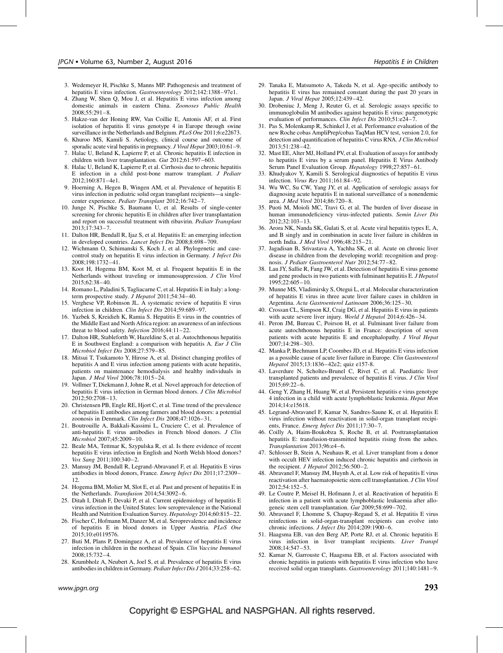- <span id="page-5-0"></span>3. Wedemeyer H, Pischke S, Manns MP. Pathogenesis and treatment of hepatitis E virus infection. Gastroenterology 2012;142:1388–97e1.
- 4. Zhang W, Shen Q, Mou J, et al. Hepatitis E virus infection among domestic animals in eastern China. Zoonoses Public Health 2008;55:291–8.
- 5. Hakze-van der Honing RW, Van Coillie E, Antonis AF, et al. First isolation of hepatitis E virus genotype 4 in Europe through swine surveillance in the Netherlands and Belgium. PLoS One 2011;6:e22673.
- 6. Khuroo MS, Kamili S. Aetiology, clinical course and outcome of sporadic acute viral hepatitis in pregnancy. *J Viral Hepat* 2003;10:61-9.
- 7. Halac U, Beland K, Lapierre P, et al. Chronic hepatitis E infection in children with liver transplantation. Gut 2012;61:597–603.
- 8. Halac U, Beland K, Lapierre P, et al. Cirrhosis due to chronic hepatitis E infection in a child post-bone marrow transplant. J Pediatr 2012;160:871–4e1.
- 9. Hoerning A, Hegen B, Wingen AM, et al. Prevalence of hepatitis E virus infection in pediatric solid organ transplant recipients—a singlecenter experience. Pediatr Transplant 2012;16:742–7.
- 10. Junge N, Pischke S, Baumann U, et al. Results of single-center screening for chronic hepatitis E in children after liver transplantation and report on successful treatment with ribavirin. Pediatr Transplant 2013;17:343–7.
- 11. Dalton HR, Bendall R, Ijaz S, et al. Hepatitis E: an emerging infection in developed countries. Lancet Infect Dis 2008;8:698–709.
- 12. Wichmann O, Schimanski S, Koch J, et al. Phylogenetic and casecontrol study on hepatitis E virus infection in Germany. J Infect Dis 2008;198:1732–41.
- 13. Koot H, Hogema BM, Koot M, et al. Frequent hepatitis E in the Netherlands without traveling or immunosuppression. J Clin Virol 2015;62:38–40.
- 14. Romano L, Paladini S, Tagliacarne C, et al. Hepatitis E in Italy: a longterm prospective study. *J Hepatol* 2011;54:34-40.
- 15. Verghese VP, Robinson JL. A systematic review of hepatitis E virus infection in children. Clin Infect Dis 2014;59:689–97.
- 16. Yazbek S, Kreidieh K, Ramia S. Hepatitis E virus in the countries of the Middle East and North Africa region: an awareness of an infectious threat to blood safety. Infection 2016;44:11-22.
- 17. Dalton HR, Stableforth W, Hazeldine S, et al. Autochthonous hepatitis E in Southwest England: a comparison with hepatitis A. Eur J Clin Microbiol Infect Dis 2008;27:579–85.
- 18. Mitsui T, Tsukamoto Y, Hirose A, et al. Distinct changing profiles of hepatitis A and E virus infection among patients with acute hepatitis, patients on maintenance hemodialysis and healthy individuals in Japan. J Med Virol 2006;78:1015–24.
- 19. Vollmer T, Diekmann J, Johne R, et al. Novel approach for detection of hepatitis E virus infection in German blood donors. J Clin Microbiol 2012;50:2708–13.
- 20. Christensen PB, Engle RE, Hjort C, et al. Time trend of the prevalence of hepatitis E antibodies among farmers and blood donors: a potential zoonosis in Denmark. Clin Infect Dis 2008;47:1026–31.
- 21. Boutrouille A, Bakkali-Kassimi L, Cruciere C, et al. Prevalence of anti-hepatitis E virus antibodies in French blood donors. J Clin Microbiol 2007;45:2009–10.
- 22. Beale MA, Tettmar K, Szypulska R, et al. Is there evidence of recent hepatitis E virus infection in English and North Welsh blood donors? Vox Sang 2011;100:340–2.
- 23. Mansuy JM, Bendall R, Legrand-Abravanel F, et al. Hepatitis E virus antibodies in blood donors, France. Emerg Infect Dis 2011;17:2309– 12.
- 24. Hogema BM, Molier M, Slot E, et al. Past and present of hepatitis E in the Netherlands. Transfusion 2014;54:3092-6.
- 25. Ditah I, Ditah F, Devaki P, et al. Current epidemiology of hepatitis E virus infection in the United States: low seroprevalence in the National Health and Nutrition Evaluation Survey. Hepatology 2014;60:815–22.
- 26. Fischer C, Hofmann M, Danzer M, et al. Seroprevalence and incidence of hepatitis E in blood donors in Upper Austria. PLoS One 2015;10:e0119576.
- 27. Buti M, Plans P, Dominguez A, et al. Prevalence of hepatitis E virus infection in children in the northeast of Spain. Clin Vaccine Immunol 2008;15:732–4.
- 28. Krumbholz A, Neubert A, Joel S, et al. Prevalence of hepatitis E virus antibodies in children in Germany. Pediatr Infect Dis J 2014;33:258–62.
- 29. Tanaka E, Matsumoto A, Takeda N, et al. Age-specific antibody to hepatitis E virus has remained constant during the past 20 years in Japan. J Viral Hepat 2005;12:439–42.
- 30. Drobeniuc J, Meng J, Reuter G, et al. Serologic assays specific to immunoglobulin M antibodies against hepatitis E virus: pangenotypic evaluation of performances. Clin Infect Dis 2010;51:e24–7.
- 31. Pas S, Molenkamp R, Schinkel J, et al. Performance evaluation of the new Roche cobas AmpliPrep/cobas TaqMan HCV test, version 2.0, for detection and quantification of hepatitis C virus RNA. J Clin Microbiol 2013;51:238–42.
- 32. Mast EE, Alter MJ, Holland PV, et al. Evaluation of assays for antibody to hepatitis E virus by a serum panel. Hepatitis E Virus Antibody Serum Panel Evaluation Group. Hepatology 1998;27:857–61.
- 33. Khudyakov Y, Kamili S. Serological diagnostics of hepatitis E virus infection. Virus Res 2011;161:84–92.
- 34. Wu WC, Su CW, Yang JY, et al. Application of serologic assays for diagnosing acute hepatitis E in national surveillance of a nonendemic area. J Med Virol 2014;86:720–8.
- 35. Puoti M, Moioli MC, Travi G, et al. The burden of liver disease in human immunodeficiency virus-infected patients. Semin Liver Dis 2012;32:103–13.
- 36. Arora NK, Nanda SK, Gulati S, et al. Acute viral hepatitis types E, A, and B singly and in combination in acute liver failure in children in north India. J Med Virol 1996;48:215–21.
- 37. Jagadisan B, Srivastava A, Yachha SK, et al. Acute on chronic liver disease in children from the developing world: recognition and prognosis. J Pediatr Gastroenterol Nutr 2012;54:77–82.
- 38. Lau JY, Sallie R, Fang JW, et al. Detection of hepatitis E virus genome and gene products in two patients with fulminant hepatitis E. J Hepatol  $1995:22:605-10$ .
- 39. Munne MS, Vladimirsky S, Otegui L, et al. Molecular characterization of hepatitis E virus in three acute liver failure cases in children in Argentina. Acta Gastroenterol Latinoam 2006;36:125–30.
- 40. Crossan CL, Simpson KJ, Craig DG, et al. Hepatitis E virus in patients with acute severe liver injury. World J Hepatol 2014;6:426–34.
- 41. Peron JM, Bureau C, Poirson H, et al. Fulminant liver failure from acute autochthonous hepatitis E in France: description of seven patients with acute hepatitis E and encephalopathy. J Viral Hepat 2007;14:298–303.
- 42. Manka P, Bechmann LP, Coombes JD, et al. Hepatitis E virus infection as a possible cause of acute liver failure in Europe. Clin Gastroenterol Hepatol 2015;13:1836–42e2; quiz e157-8.
- 43. Laverdure N, Scholtes-Brunel C, Rivet C, et al. Paediatric liver transplanted patients and prevalence of hepatitis E virus. J Clin Virol 2015;69:22–6.
- 44. Geng Y, Zhang H, Huang W, et al. Persistent hepatitis e virus genotype 4 infection in a child with acute lymphoblastic leukemia. Hepat Mon 2014;14:e15618.
- 45. Legrand-Abravanel F, Kamar N, Sandres-Saune K, et al. Hepatitis E virus infection without reactivation in solid-organ transplant recipients, France. Emerg Infect Dis 2011;17:30–7.
- 46. Coilly A, Haim-Boukobza S, Roche B, et al. Posttransplantation hepatitis E: transfusion-transmitted hepatitis rising from the ashes. Transplantation 2013;96:e4–6.
- 47. Schlosser B, Stein A, Neuhaus R, et al. Liver transplant from a donor with occult HEV infection induced chronic hepatitis and cirrhosis in the recipient. J Hepatol 2012;56:500-2.
- 48. Abravanel F, Mansuy JM, Huynh A, et al. Low risk of hepatitis E virus reactivation after haematopoietic stem cell transplantation. J Clin Virol 2012;54:152–5.
- 49. Le Coutre P, Meisel H, Hofmann J, et al. Reactivation of hepatitis E infection in a patient with acute lymphoblastic leukaemia after allogeneic stem cell transplantation. Gut 2009;58:699–702.
- 50. Abravanel F, Lhomme S, Chapuy-Regaud S, et al. Hepatitis E virus reinfections in solid-organ-transplant recipients can evolve into chronic infections. J Infect Dis 2014;209:1900-6.
- 51. Haagsma EB, van den Berg AP, Porte RJ, et al. Chronic hepatitis E virus infection in liver transplant recipients. Liver Transpl 2008;14:547–53.
- 52. Kamar N, Garrouste C, Haagsma EB, et al. Factors associated with chronic hepatitis in patients with hepatitis E virus infection who have received solid organ transplants. Gastroenterology 2011;140:1481–9.

# Copyright © ESPGHAL and NASPGHAN. All rights reserved.